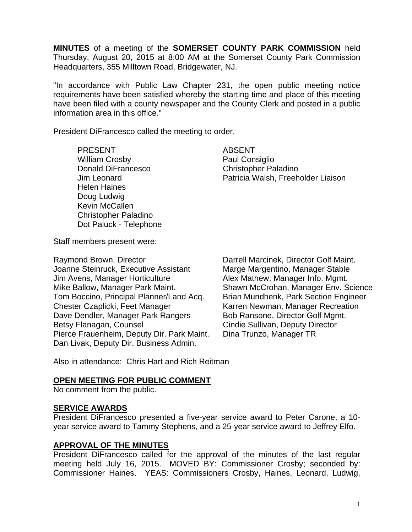**MINUTES** of a meeting of the **SOMERSET COUNTY PARK COMMISSION** held Thursday, August 20, 2015 at 8:00 AM at the Somerset County Park Commission Headquarters, 355 Milltown Road, Bridgewater, NJ.

"In accordance with Public Law Chapter 231, the open public meeting notice requirements have been satisfied whereby the starting time and place of this meeting have been filed with a county newspaper and the County Clerk and posted in a public information area in this office."

President DiFrancesco called the meeting to order.

PRESENT ABSENT William Crosby **Paul Consiglio** Donald DiFrancesco Christopher Paladino Helen Haines Doug Ludwig Kevin McCallen Christopher Paladino Dot Paluck - Telephone

Jim Leonard Patricia Walsh, Freeholder Liaison

Staff members present were:

Raymond Brown, Director **National Example 20** Darrell Marcinek, Director Golf Maint. Joanne Steinruck, Executive Assistant Marge Margentino, Manager Stable Jim Avens, Manager Horticulture **Alex Mathew, Manager Info. Mgmt.** Mike Ballow, Manager Park Maint. Shawn McCrohan, Manager Env. Science Tom Boccino, Principal Planner/Land Acq. Brian Mundhenk, Park Section Engineer Chester Czaplicki, Feet Manager Karren Newman, Manager Recreation Dave Dendler, Manager Park Rangers Bob Ransone, Director Golf Mgmt. Betsy Flanagan, Counsel **Counsel Cindie Sullivan, Deputy Director** Pierce Frauenheim, Deputy Dir. Park Maint. Dina Trunzo, Manager TR Dan Livak, Deputy Dir. Business Admin.

Also in attendance: Chris Hart and Rich Reitman

### **OPEN MEETING FOR PUBLIC COMMENT**

No comment from the public.

#### **SERVICE AWARDS**

President DiFrancesco presented a five-year service award to Peter Carone, a 10 year service award to Tammy Stephens, and a 25-year service award to Jeffrey Elfo.

### **APPROVAL OF THE MINUTES**

President DiFrancesco called for the approval of the minutes of the last regular meeting held July 16, 2015. MOVED BY: Commissioner Crosby; seconded by: Commissioner Haines. YEAS: Commissioners Crosby, Haines, Leonard, Ludwig,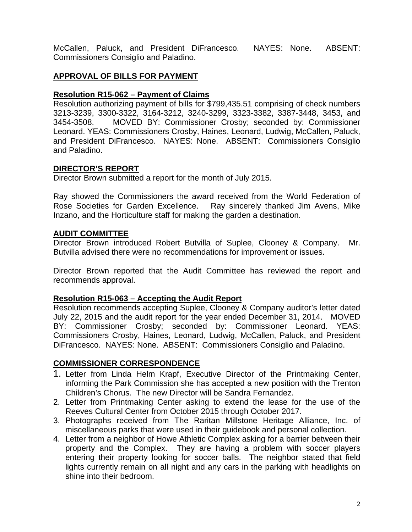McCallen, Paluck, and President DiFrancesco. NAYES: None. ABSENT: Commissioners Consiglio and Paladino.

## **APPROVAL OF BILLS FOR PAYMENT**

### **Resolution R15-062 – Payment of Claims**

Resolution authorizing payment of bills for \$799,435.51 comprising of check numbers 3213-3239, 3300-3322, 3164-3212, 3240-3299, 3323-3382, 3387-3448, 3453, and 3454-3508. MOVED BY: Commissioner Crosby; seconded by: Commissioner Leonard. YEAS: Commissioners Crosby, Haines, Leonard, Ludwig, McCallen, Paluck, and President DiFrancesco. NAYES: None. ABSENT: Commissioners Consiglio and Paladino.

### **DIRECTOR'S REPORT**

Director Brown submitted a report for the month of July 2015.

Ray showed the Commissioners the award received from the World Federation of Rose Societies for Garden Excellence. Ray sincerely thanked Jim Avens, Mike Inzano, and the Horticulture staff for making the garden a destination.

#### **AUDIT COMMITTEE**

Director Brown introduced Robert Butvilla of Suplee, Clooney & Company. Mr. Butvilla advised there were no recommendations for improvement or issues.

Director Brown reported that the Audit Committee has reviewed the report and recommends approval.

### **Resolution R15-063 – Accepting the Audit Report**

Resolution recommends accepting Suplee, Clooney & Company auditor's letter dated July 22, 2015 and the audit report for the year ended December 31, 2014. MOVED BY: Commissioner Crosby; seconded by: Commissioner Leonard. YEAS: Commissioners Crosby, Haines, Leonard, Ludwig, McCallen, Paluck, and President DiFrancesco. NAYES: None. ABSENT: Commissioners Consiglio and Paladino.

### **COMMISSIONER CORRESPONDENCE**

- 1. Letter from Linda Helm Krapf, Executive Director of the Printmaking Center, informing the Park Commission she has accepted a new position with the Trenton Children's Chorus. The new Director will be Sandra Fernandez.
- 2. Letter from Printmaking Center asking to extend the lease for the use of the Reeves Cultural Center from October 2015 through October 2017.
- 3. Photographs received from The Raritan Millstone Heritage Alliance, Inc. of miscellaneous parks that were used in their guidebook and personal collection.
- 4. Letter from a neighbor of Howe Athletic Complex asking for a barrier between their property and the Complex. They are having a problem with soccer players entering their property looking for soccer balls. The neighbor stated that field lights currently remain on all night and any cars in the parking with headlights on shine into their bedroom.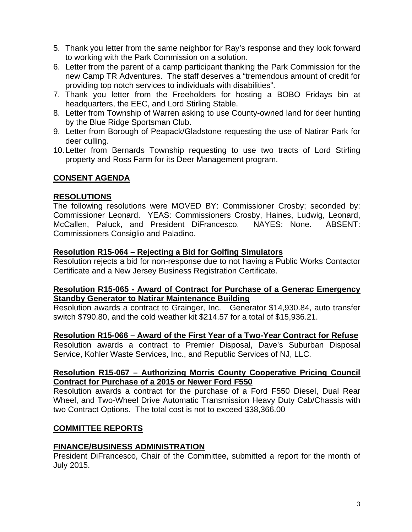- 5. Thank you letter from the same neighbor for Ray's response and they look forward to working with the Park Commission on a solution.
- 6. Letter from the parent of a camp participant thanking the Park Commission for the new Camp TR Adventures. The staff deserves a "tremendous amount of credit for providing top notch services to individuals with disabilities".
- 7. Thank you letter from the Freeholders for hosting a BOBO Fridays bin at headquarters, the EEC, and Lord Stirling Stable.
- 8. Letter from Township of Warren asking to use County-owned land for deer hunting by the Blue Ridge Sportsman Club.
- 9. Letter from Borough of Peapack/Gladstone requesting the use of Natirar Park for deer culling.
- 10. Letter from Bernards Township requesting to use two tracts of Lord Stirling property and Ross Farm for its Deer Management program.

## **CONSENT AGENDA**

## **RESOLUTIONS**

The following resolutions were MOVED BY: Commissioner Crosby; seconded by: Commissioner Leonard. YEAS: Commissioners Crosby, Haines, Ludwig, Leonard, McCallen, Paluck, and President DiFrancesco. NAYES: None. ABSENT: Commissioners Consiglio and Paladino.

## **Resolution R15-064 – Rejecting a Bid for Golfing Simulators**

Resolution rejects a bid for non-response due to not having a Public Works Contactor Certificate and a New Jersey Business Registration Certificate.

#### **Resolution R15-065 - Award of Contract for Purchase of a Generac Emergency Standby Generator to Natirar Maintenance Building**

Resolution awards a contract to Grainger, Inc. Generator \$14,930.84, auto transfer switch \$790.80, and the cold weather kit \$214.57 for a total of \$15,936.21.

### **Resolution R15-066 – Award of the First Year of a Two-Year Contract for Refuse**

Resolution awards a contract to Premier Disposal, Dave's Suburban Disposal Service, Kohler Waste Services, Inc., and Republic Services of NJ, LLC.

## **Resolution R15-067 – Authorizing Morris County Cooperative Pricing Council Contract for Purchase of a 2015 or Newer Ford F550**

Resolution awards a contract for the purchase of a Ford F550 Diesel, Dual Rear Wheel, and Two-Wheel Drive Automatic Transmission Heavy Duty Cab/Chassis with two Contract Options. The total cost is not to exceed \$38,366.00

# **COMMITTEE REPORTS**

# **FINANCE/BUSINESS ADMINISTRATION**

President DiFrancesco, Chair of the Committee, submitted a report for the month of July 2015.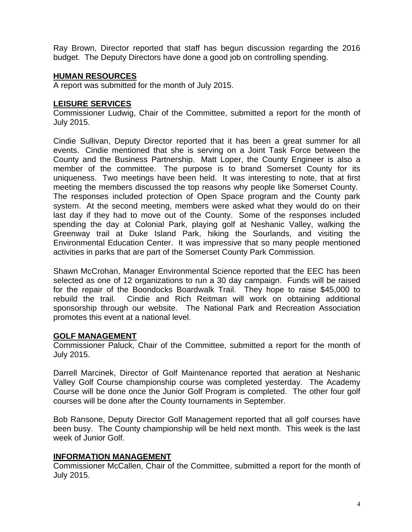Ray Brown, Director reported that staff has begun discussion regarding the 2016 budget. The Deputy Directors have done a good job on controlling spending.

# **HUMAN RESOURCES**

A report was submitted for the month of July 2015.

#### **LEISURE SERVICES**

Commissioner Ludwig, Chair of the Committee, submitted a report for the month of July 2015.

Cindie Sullivan, Deputy Director reported that it has been a great summer for all events. Cindie mentioned that she is serving on a Joint Task Force between the County and the Business Partnership. Matt Loper, the County Engineer is also a member of the committee. The purpose is to brand Somerset County for its uniqueness. Two meetings have been held. It was interesting to note, that at first meeting the members discussed the top reasons why people like Somerset County. The responses included protection of Open Space program and the County park system. At the second meeting, members were asked what they would do on their last day if they had to move out of the County. Some of the responses included spending the day at Colonial Park, playing golf at Neshanic Valley, walking the Greenway trail at Duke Island Park, hiking the Sourlands, and visiting the Environmental Education Center. It was impressive that so many people mentioned activities in parks that are part of the Somerset County Park Commission.

Shawn McCrohan, Manager Environmental Science reported that the EEC has been selected as one of 12 organizations to run a 30 day campaign. Funds will be raised for the repair of the Boondocks Boardwalk Trail. They hope to raise \$45,000 to rebuild the trail. Cindie and Rich Reitman will work on obtaining additional sponsorship through our website. The National Park and Recreation Association promotes this event at a national level.

### **GOLF MANAGEMENT**

Commissioner Paluck, Chair of the Committee, submitted a report for the month of July 2015.

Darrell Marcinek, Director of Golf Maintenance reported that aeration at Neshanic Valley Golf Course championship course was completed yesterday. The Academy Course will be done once the Junior Golf Program is completed. The other four golf courses will be done after the County tournaments in September.

Bob Ransone, Deputy Director Golf Management reported that all golf courses have been busy. The County championship will be held next month. This week is the last week of Junior Golf.

### **INFORMATION MANAGEMENT**

Commissioner McCallen, Chair of the Committee, submitted a report for the month of July 2015.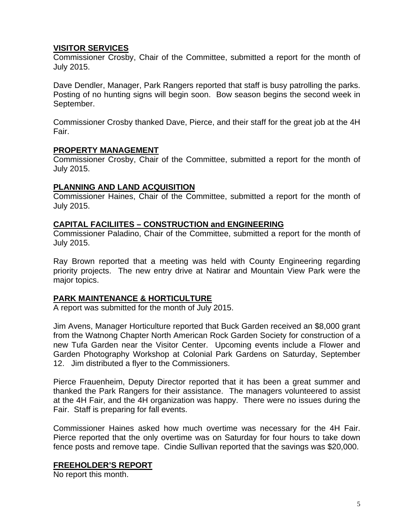### **VISITOR SERVICES**

Commissioner Crosby, Chair of the Committee, submitted a report for the month of July 2015.

Dave Dendler, Manager, Park Rangers reported that staff is busy patrolling the parks. Posting of no hunting signs will begin soon. Bow season begins the second week in September.

Commissioner Crosby thanked Dave, Pierce, and their staff for the great job at the 4H Fair.

## **PROPERTY MANAGEMENT**

Commissioner Crosby, Chair of the Committee, submitted a report for the month of July 2015.

## **PLANNING AND LAND ACQUISITION**

Commissioner Haines, Chair of the Committee, submitted a report for the month of July 2015.

## **CAPITAL FACILIITES – CONSTRUCTION and ENGINEERING**

Commissioner Paladino, Chair of the Committee, submitted a report for the month of July 2015.

Ray Brown reported that a meeting was held with County Engineering regarding priority projects. The new entry drive at Natirar and Mountain View Park were the major topics.

# **PARK MAINTENANCE & HORTICULTURE**

A report was submitted for the month of July 2015.

Jim Avens, Manager Horticulture reported that Buck Garden received an \$8,000 grant from the Watnong Chapter North American Rock Garden Society for construction of a new Tufa Garden near the Visitor Center. Upcoming events include a Flower and Garden Photography Workshop at Colonial Park Gardens on Saturday, September 12. Jim distributed a flyer to the Commissioners.

Pierce Frauenheim, Deputy Director reported that it has been a great summer and thanked the Park Rangers for their assistance. The managers volunteered to assist at the 4H Fair, and the 4H organization was happy. There were no issues during the Fair. Staff is preparing for fall events.

Commissioner Haines asked how much overtime was necessary for the 4H Fair. Pierce reported that the only overtime was on Saturday for four hours to take down fence posts and remove tape. Cindie Sullivan reported that the savings was \$20,000.

# **FREEHOLDER'S REPORT**

No report this month.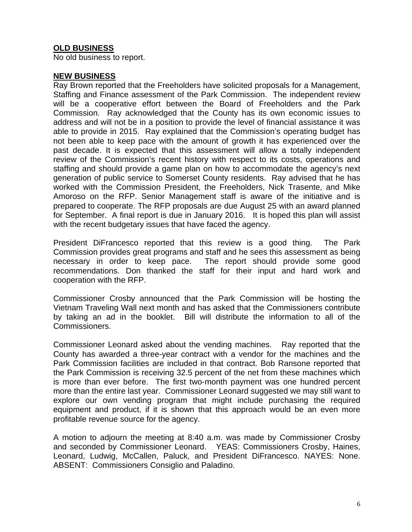# **OLD BUSINESS**

No old business to report.

#### **NEW BUSINESS**

Ray Brown reported that the Freeholders have solicited proposals for a Management, Staffing and Finance assessment of the Park Commission. The independent review will be a cooperative effort between the Board of Freeholders and the Park Commission. Ray acknowledged that the County has its own economic issues to address and will not be in a position to provide the level of financial assistance it was able to provide in 2015. Ray explained that the Commission's operating budget has not been able to keep pace with the amount of growth it has experienced over the past decade. It is expected that this assessment will allow a totally independent review of the Commission's recent history with respect to its costs, operations and staffing and should provide a game plan on how to accommodate the agency's next generation of public service to Somerset County residents. Ray advised that he has worked with the Commission President, the Freeholders, Nick Trasente, and Mike Amoroso on the RFP. Senior Management staff is aware of the initiative and is prepared to cooperate. The RFP proposals are due August 25 with an award planned for September. A final report is due in January 2016. It is hoped this plan will assist with the recent budgetary issues that have faced the agency.

President DiFrancesco reported that this review is a good thing. The Park Commission provides great programs and staff and he sees this assessment as being necessary in order to keep pace. The report should provide some good recommendations. Don thanked the staff for their input and hard work and cooperation with the RFP.

Commissioner Crosby announced that the Park Commission will be hosting the Vietnam Traveling Wall next month and has asked that the Commissioners contribute by taking an ad in the booklet. Bill will distribute the information to all of the Commissioners.

Commissioner Leonard asked about the vending machines. Ray reported that the County has awarded a three-year contract with a vendor for the machines and the Park Commission facilities are included in that contract. Bob Ransone reported that the Park Commission is receiving 32.5 percent of the net from these machines which is more than ever before. The first two-month payment was one hundred percent more than the entire last year. Commissioner Leonard suggested we may still want to explore our own vending program that might include purchasing the required equipment and product, if it is shown that this approach would be an even more profitable revenue source for the agency.

A motion to adjourn the meeting at 8:40 a.m. was made by Commissioner Crosby and seconded by Commissioner Leonard. YEAS: Commissioners Crosby, Haines, Leonard, Ludwig, McCallen, Paluck, and President DiFrancesco. NAYES: None. ABSENT: Commissioners Consiglio and Paladino.